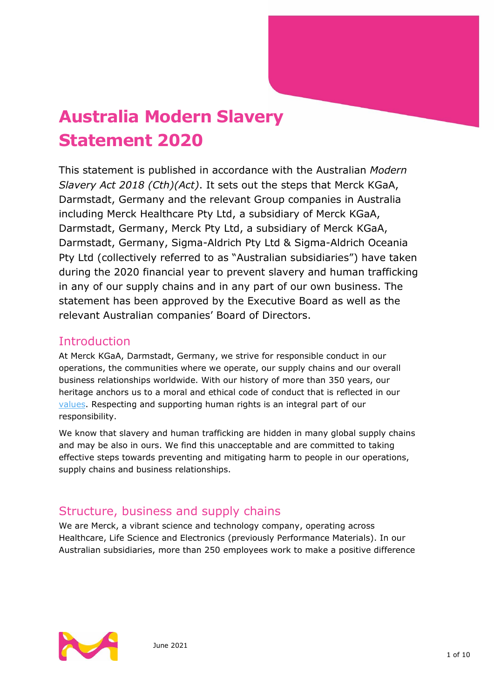# **Australia Modern Slavery Statement 2020**

This statement is published in accordance with the Australian *Modern Slavery Act 2018 (Cth)(Act)*. It sets out the steps that Merck KGaA, Darmstadt, Germany and the relevant Group companies in Australia including Merck Healthcare Pty Ltd, a subsidiary of Merck KGaA, Darmstadt, Germany, Merck Pty Ltd, a subsidiary of Merck KGaA, Darmstadt, Germany, Sigma-Aldrich Pty Ltd & Sigma-Aldrich Oceania Pty Ltd (collectively referred to as "Australian subsidiaries") have taken during the 2020 financial year to prevent slavery and human trafficking in any of our supply chains and in any part of our own business. The statement has been approved by the Executive Board as well as the relevant Australian companies' Board of Directors.

### Introduction

At Merck KGaA, Darmstadt, Germany, we strive for responsible conduct in our operations, the communities where we operate, our supply chains and our overall business relationships worldwide. With our history of more than 350 years, our heritage anchors us to a moral and ethical code of conduct that is reflected in our [values.](https://www.emdgroup.com/en/company/who-we-are/strategy-and-values.html) Respecting and supporting human rights is an integral part of our responsibility.

We know that slavery and human trafficking are hidden in many global supply chains and may be also in ours. We find this unacceptable and are committed to taking effective steps towards preventing and mitigating harm to people in our operations, supply chains and business relationships.

# Structure, business and supply chains

We are Merck, a vibrant science and technology company, operating across Healthcare, Life Science and Electronics (previously Performance Materials). In our Australian subsidiaries, more than 250 employees work to make a positive difference

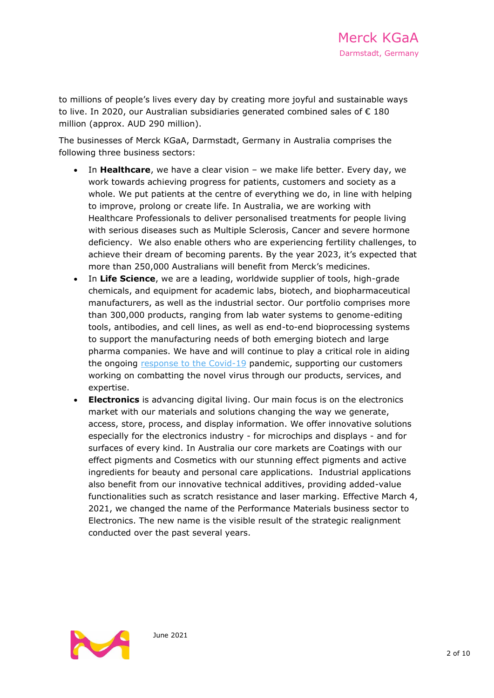to millions of people's lives every day by creating more joyful and sustainable ways to live. In 2020, our Australian subsidiaries generated combined sales of € 180 million (approx. AUD 290 million).

The businesses of Merck KGaA, Darmstadt, Germany in Australia comprises the following three business sectors:

- In **Healthcare**, we have a clear vision we make life better. Every day, we work towards achieving progress for patients, customers and society as a whole. We put patients at the centre of everything we do, in line with helping to improve, prolong or create life. In Australia, we are working with Healthcare Professionals to deliver personalised treatments for people living with serious diseases such as Multiple Sclerosis, Cancer and severe hormone deficiency. We also enable others who are experiencing fertility challenges, to achieve their dream of becoming parents. By the year 2023, it's expected that more than 250,000 Australians will benefit from Merck's medicines.
- In **Life Science**, we are a leading, worldwide supplier of tools, high-grade chemicals, and equipment for academic labs, biotech, and biopharmaceutical manufacturers, as well as the industrial sector. Our portfolio comprises more than 300,000 products, ranging from lab water systems to genome-editing tools, antibodies, and cell lines, as well as end-to-end bioprocessing systems to support the manufacturing needs of both emerging biotech and large pharma companies. We have and will continue to play a critical role in aiding the ongoing [response to the Covid-19](https://www.emdgroup.com/en/company/press/press-kits/corona-pandemic.html) pandemic, supporting our customers working on combatting the novel virus through our products, services, and expertise.
- **Electronics** is advancing digital living. Our main focus is on the electronics market with our materials and solutions changing the way we generate, access, store, process, and display information. We offer innovative solutions especially for the electronics industry - for microchips and displays - and for surfaces of every kind. In Australia our core markets are Coatings with our effect pigments and Cosmetics with our stunning effect pigments and active ingredients for beauty and personal care applications. Industrial applications also benefit from our innovative technical additives, providing added-value functionalities such as scratch resistance and laser marking. Effective March 4, 2021, we changed the name of the Performance Materials business sector to Electronics. The new name is the visible result of the strategic realignment conducted over the past several years.

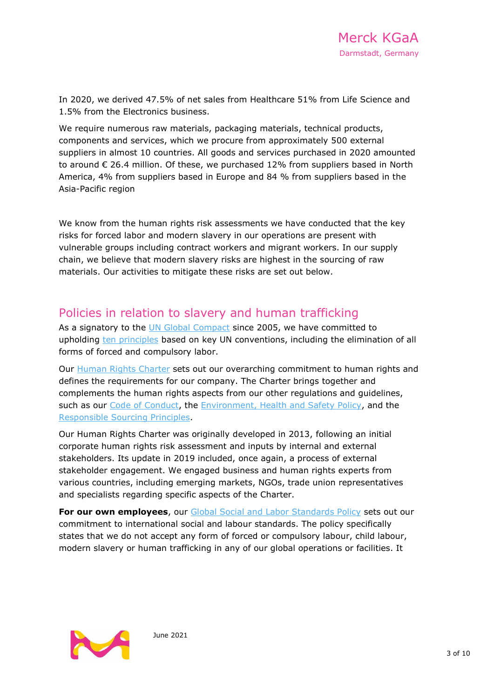In 2020, we derived 47.5% of net sales from Healthcare 51% from Life Science and 1.5% from the Electronics business.

We require numerous raw materials, packaging materials, technical products, components and services, which we procure from approximately 500 external suppliers in almost 10 countries. All goods and services purchased in 2020 amounted to around € 26.4 million. Of these, we purchased 12% from suppliers based in North America, 4% from suppliers based in Europe and 84 % from suppliers based in the Asia-Pacific region

We know from the human rights risk assessments we have conducted that the key risks for forced labor and modern slavery in our operations are present with vulnerable groups including contract workers and migrant workers. In our supply chain, we believe that modern slavery risks are highest in the sourcing of raw materials. Our activities to mitigate these risks are set out below.

### Policies in relation to slavery and human trafficking

As a signatory to the [UN Global Compact](https://www.unglobalcompact.org/) since 2005, we have committed to upholding [ten principles](https://www.unglobalcompact.org/what-is-gc/mission/principles) based on key UN conventions, including the elimination of all forms of forced and compulsory labor.

Our [Human Rights Charter](https://www.emdgroup.com/company/responsibility/us/Merck_KGaA_Darmstadt_Germany_Human_Rights_Charter.pdf) sets out our overarching commitment to human rights and defines the requirements for our company. The Charter brings together and complements the human rights aspects from our other regulations and guidelines, such as our [Code of Conduct,](https://www.emdgroup.com/company/responsibility/us/regulations-and-guidelines/code-of-conduct.pdf) the [Environment, Health and Safety Policy,](https://www.emdgroup.com/company/responsibility/us/EMD_EHS-Policy_US.pdf) and the [Responsible Sourcing Principles.](https://www.emdgroup.com/company/responsibility/us/MKGaA_Responsible_Sourcing_Principles.pdf)

Our Human Rights Charter was originally developed in 2013, following an initial corporate human rights risk assessment and inputs by internal and external stakeholders. Its update in 2019 included, once again, a process of external stakeholder engagement. We engaged business and human rights experts from various countries, including emerging markets, NGOs, trade union representatives and specialists regarding specific aspects of the Charter.

**For our own employees**, our Global Social [and Labor Standards Policy](https://www.emdgroup.com/company/responsibility/us/regulations-and-guidelines/Social-and-Labor-Standards-Policy-Website-US.pdf) sets out our commitment to international social and labour standards. The policy specifically states that we do not accept any form of forced or compulsory labour, child labour, modern slavery or human trafficking in any of our global operations or facilities. It

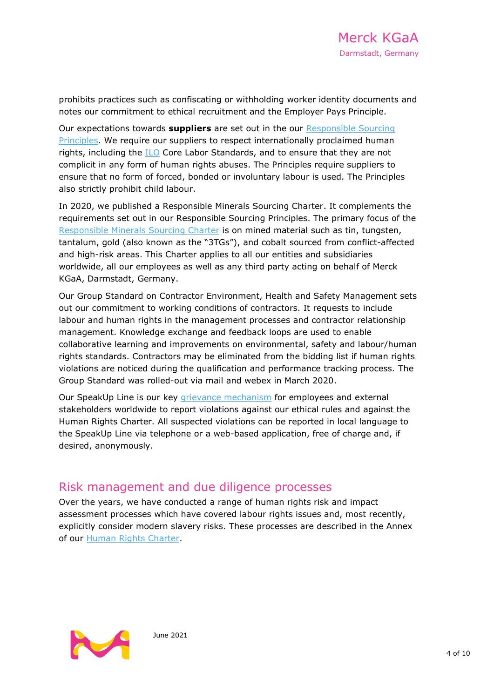prohibits practices such as confiscating or withholding worker identity documents and notes our commitment to ethical recruitment and the Employer Pays Principle.

Our expectations towards **suppliers** are set out in the our [Responsible Sourcing](https://www.emdgroup.com/company/responsibility/us/MKGaA_Responsible_Sourcing_Principles.pdf)  [Principles.](https://www.emdgroup.com/company/responsibility/us/MKGaA_Responsible_Sourcing_Principles.pdf) We require our suppliers to respect internationally proclaimed human rights, including the [ILO](https://www.ilo.org/global/about-the-ilo/lang--en/index.htm) Core Labor Standards, and to ensure that they are not complicit in any form of human rights abuses. The Principles require suppliers to ensure that no form of forced, bonded or involuntary labour is used. The Principles also strictly prohibit child labour.

In 2020, we published a [Responsible Minerals Sourcing Charter.](https://www.merckgroup.com/company/responsibility/en/ResponsibleSourcingGroupCharter_en.pdf) It complements the requirements set out in our Responsible Sourcing Principles. The primary focus of the [Responsible Minerals Sourcing Charter](https://www.emdgroup.com/company/responsibility/us/ResponsibleSourcingGroupCharter_us.pdf) is on mined material such as tin, tungsten, tantalum, gold (also known as the "3TGs"), and cobalt sourced from conflict-affected and high-risk areas. This Charter applies to all our entities and subsidiaries worldwide, all our employees as well as any third party acting on behalf of Merck KGaA, Darmstadt, Germany.

Our Group Standard on Contractor Environment, Health and Safety Management sets out our commitment to working conditions of contractors. It requests to include labour and human rights in the management processes and contractor relationship management. Knowledge exchange and feedback loops are used to enable collaborative learning and improvements on environmental, safety and labour/human rights standards. Contractors may be eliminated from the bidding list if human rights violations are noticed during the qualification and performance tracking process. The Group Standard was rolled-out via mail and webex in March 2020.

Our SpeakUp Line is our key [grievance mechanism](http://www.bkms-system.net/ISPEAKUP) for employees and external stakeholders worldwide to report violations against our ethical rules and against the Human Rights Charter. All suspected violations can be reported in local language to the SpeakUp Line via telephone or a web-based application, free of charge and, if desired, anonymously.

### Risk management and due diligence processes

Over the years, we have conducted a range of human rights risk and impact assessment processes which have covered labour rights issues and, most recently, explicitly consider modern slavery risks. These processes are described in the Annex of our [Human Rights Charter.](https://www.emdgroup.com/company/responsibility/us/Merck_KGaA_Darmstadt_Germany_Human_Rights_Charter.pdf)

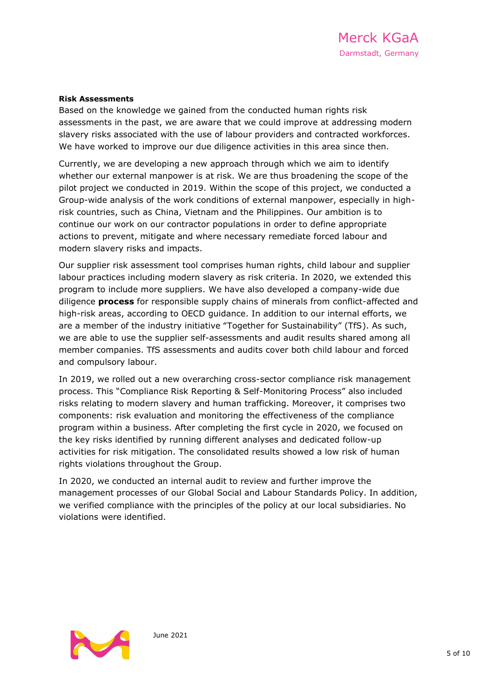#### **Risk Assessments**

Based on the knowledge we gained from the conducted human rights risk assessments in the past, we are aware that we could improve at addressing modern slavery risks associated with the use of labour providers and contracted workforces. We have worked to improve our due diligence activities in this area since then.

Currently, we are developing a new approach through which we aim to identify whether our external manpower is at risk. We are thus broadening the scope of the pilot project we conducted in 2019. Within the scope of this project, we conducted a Group-wide analysis of the work conditions of external manpower, especially in highrisk countries, such as China, Vietnam and the Philippines. Our ambition is to continue our work on our contractor populations in order to define appropriate actions to prevent, mitigate and where necessary remediate forced labour and modern slavery risks and impacts.

Our supplier risk assessment tool comprises human rights, child labour and supplier labour practices including modern slavery as risk criteria. In 2020, we extended this program to include more suppliers. We have also developed a company-wide [due](https://www.merckgroup.com/en/sustainability-report/2020/servicepages/glossary.html#duediligence)  [diligence](https://www.merckgroup.com/en/sustainability-report/2020/servicepages/glossary.html#duediligence) **process** for responsible supply chains of minerals from conflict-affected and high-risk areas, according to OECD guidance. In addition to our internal efforts, we are a member of the industry initiative "Together for Sustainability" (TfS). As such, we are able to use the supplier self-assessments and audit results shared among all member companies. TfS assessments and audits cover both child labour and forced and compulsory labour.

In 2019, we rolled out a new overarching cross-sector compliance risk management process. This "Compliance Risk Reporting & Self-Monitoring Process" also included risks relating to modern slavery and human trafficking. Moreover, it comprises two components: risk evaluation and monitoring the effectiveness of the compliance program within a business. After completing the first cycle in 2020, we focused on the key risks identified by running different analyses and dedicated follow-up activities for risk mitigation. The consolidated results showed a low risk of human rights violations throughout the Group.

In 2020, we conducted an internal audit to review and further improve the management processes of our Global Social and Labour Standards Policy. In addition, we verified compliance with the principles of the policy at our local subsidiaries. No violations were identified.

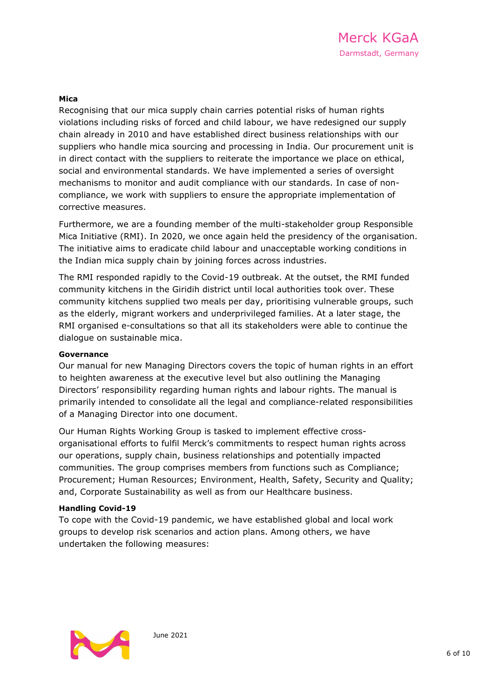#### **Mica**

Recognising that our mica supply chain carries potential risks of human rights violations including risks of forced and child labour, we have redesigned our supply chain already in 2010 and have established direct business relationships with our suppliers who handle mica sourcing and processing in India. Our procurement unit is in direct contact with the suppliers to reiterate the importance we place on ethical, social and environmental standards. We have implemented a series of oversight mechanisms to monitor and audit compliance with our standards. In case of noncompliance, we work with suppliers to ensure the appropriate implementation of corrective measures.

Furthermore, we are a founding member of the multi-stakeholder group Responsible Mica Initiative (RMI). In 2020, we once again held the presidency of the organisation. The initiative aims to eradicate child labour and unacceptable working conditions in the Indian mica supply chain by joining forces across industries.

The RMI responded rapidly to the Covid-19 outbreak. At the outset, the RMI funded community kitchens in the Giridih district until local authorities took over. These community kitchens supplied two meals per day, prioritising vulnerable groups, such as the elderly, migrant workers and underprivileged families. At a later stage, the RMI organised e-consultations so that all its stakeholders were able to continue the dialogue on sustainable mica.

#### **Governance**

Our manual for new Managing Directors covers the topic of human rights in an effort to heighten awareness at the executive level but also outlining the Managing Directors' responsibility regarding human rights and labour rights. The manual is primarily intended to consolidate all the legal and compliance-related responsibilities of a Managing Director into one document.

Our Human Rights Working Group is tasked to implement effective crossorganisational efforts to fulfil Merck's commitments to respect human rights across our operations, supply chain, business relationships and potentially impacted communities. The group comprises members from functions such as Compliance; Procurement; Human Resources; Environment, Health, Safety, Security and Quality; and, Corporate Sustainability as well as from our Healthcare business.

#### **Handling Covid-19**

To cope with the Covid-19 pandemic, we have established global and local work groups to develop risk scenarios and action plans. Among others, we have undertaken the following measures:

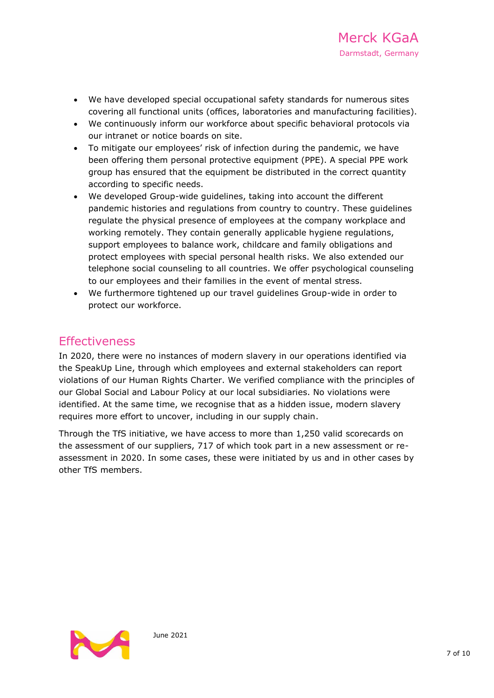- We have developed special occupational safety standards for numerous sites covering all functional units (offices, laboratories and manufacturing facilities).
- We continuously inform our workforce about specific behavioral protocols via our intranet or notice boards on site.
- To mitigate our employees' risk of infection during the pandemic, we have been offering them personal protective equipment (PPE). A special PPE work group has ensured that the equipment be distributed in the correct quantity according to specific needs.
- We developed Group-wide guidelines, taking into account the different pandemic histories and regulations from country to country. These guidelines regulate the physical presence of employees at the company workplace and working remotely. They contain generally applicable hygiene regulations, support employees to balance work, childcare and family obligations and protect employees with special personal health risks. We also extended our telephone social counseling to all countries. We offer psychological counseling to our employees and their families in the event of mental stress.
- We furthermore tightened up our travel guidelines Group-wide in order to protect our workforce.

### **Effectiveness**

In 2020, there were no instances of modern slavery in our operations identified via the SpeakUp Line, through which employees and external stakeholders can report violations of our Human Rights Charter. We verified compliance with the principles of our Global Social and Labour Policy at our local subsidiaries. No violations were identified. At the same time, we recognise that as a hidden issue, modern slavery requires more effort to uncover, including in our supply chain.

Through the TfS initiative, we have access to more than 1,250 valid [scorecards](https://www.merckgroup.com/en/sustainability-report/2020/servicepages/glossary.html#scorecard) on the assessment of our suppliers, 717 of which took part in a new assessment or reassessment in 2020. In some cases, these were initiated by us and in other cases by other TfS members.

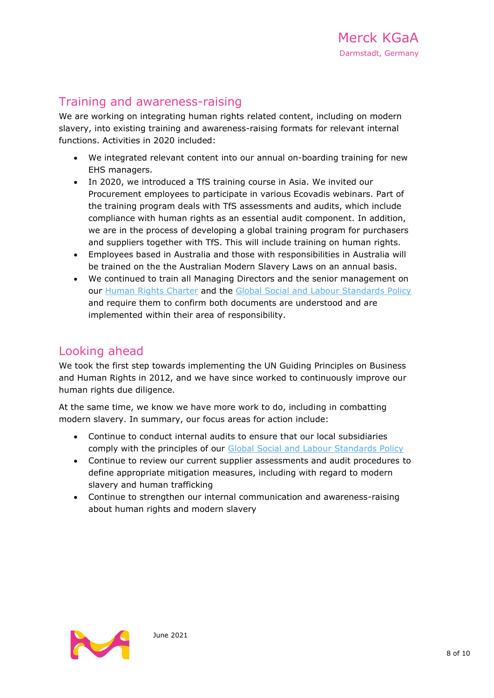### Training and awareness-raising

We are working on integrating human rights related content, including on modern slavery, into existing training and awareness-raising formats for relevant internal functions. Activities in 2020 included:

- We integrated relevant content into our annual on-boarding training for new EHS managers.
- In 2020, we introduced a [TfS](https://tfs-initiative.com/) training course in Asia. We invited our Procurement employees to participate in various Ecovadis webinars. Part of the training program deals with TfS assessments and audits, which include compliance with human rights as an essential audit component. In addition, we are in the process of developing a global training program for purchasers and suppliers together with TfS. This will include training on human rights.
- Employees based in Australia and those with responsibilities in Australia will be trained on the the Australian Modern Slavery Laws on an annual basis.
- We continued to train all Managing Directors and the senior management on our [Human Rights Charter](https://www.emdgroup.com/company/responsibility/us/Merck_KGaA_Darmstadt_Germany_Human_Rights_Charter.pdf) and the [Global Social and Labour Standards Policy](https://www.emdgroup.com/company/responsibility/us/regulations-and-guidelines/Social-and-Labor-Standards-Policy-Website-US.pdf) and require them to confirm both documents are understood and are implemented within their area of responsibility.

### Looking ahead

We took the first step towards implementing the UN Guiding Principles on Business and Human Rights in 2012, and we have since worked to continuously improve our human rights due diligence.

At the same time, we know we have more work to do, including in combatting modern slavery. In summary, our focus areas for action include:

- Continue to conduct internal audits to ensure that our local subsidiaries comply with the principles of our [Global Social and Labour Standards Policy](https://www.emdgroup.com/company/responsibility/us/regulations-and-guidelines/Social-and-Labor-Standards-Policy-Website-US.pdf)
- Continue to review our current supplier assessments and audit procedures to define appropriate mitigation measures, including with regard to modern slavery and human trafficking
- Continue to strengthen our internal communication and awareness-raising about human rights and modern slavery

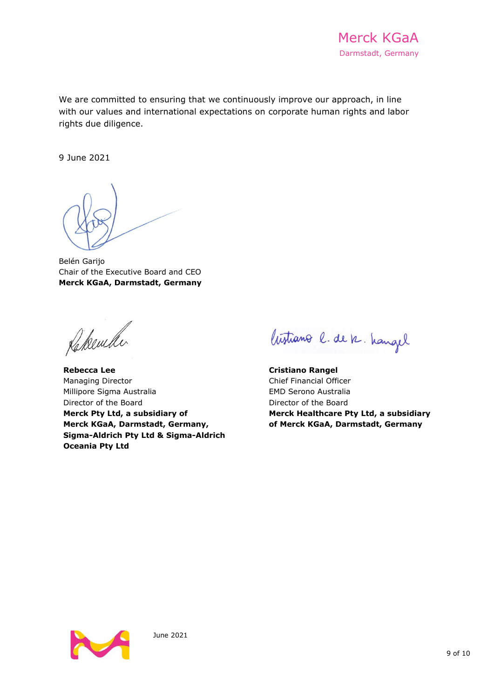We are committed to ensuring that we continuously improve our approach, in line with our values and international expectations on corporate human rights and labor rights due diligence.

9 June 2021

Belén Garijo Chair of the Executive Board and CEO **Merck KGaA, Darmstadt, Germany**

Rekember

**Rebecca Lee** Managing Director Millipore Sigma Australia Director of the Board **Merck Pty Ltd, a subsidiary of Merck KGaA, Darmstadt, Germany, Sigma-Aldrich Pty Ltd & Sigma-Aldrich Oceania Pty Ltd**

Wistiano l. de k. hangel

**Cristiano Rangel** Chief Financial Officer EMD Serono Australia Director of the Board **Merck Healthcare Pty Ltd, a subsidiary of Merck KGaA, Darmstadt, Germany**